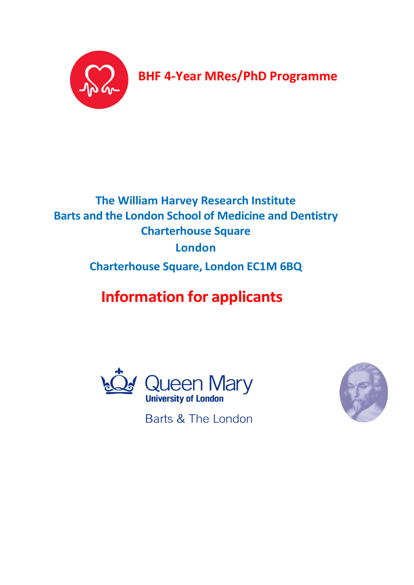

**BHF 4-Year MRes/PhD Programme**

## **The William Harvey Research Institute Barts and the London School of Medicine and Dentistry Charterhouse Square London Charterhouse Square, London EC1M 6BQ**

# **Information for applicants**





Barts & The London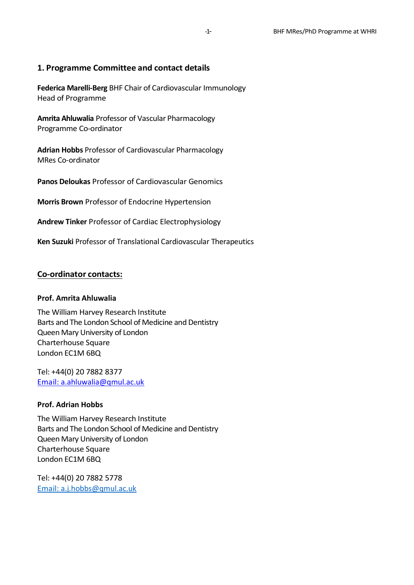## **1. Programme Committee and contact details**

**Federica Marelli-Berg** BHF Chair of Cardiovascular Immunology Head of Programme

**Amrita Ahluwalia** Professor of Vascular Pharmacology Programme Co-ordinator

**Adrian Hobbs** Professor of Cardiovascular Pharmacology MRes Co-ordinator

**Panos Deloukas** Professor of Cardiovascular Genomics

**Morris Brown** Professor of Endocrine Hypertension

**Andrew Tinker** Professor of Cardiac Electrophysiology

**Ken Suzuki** Professor of Translational Cardiovascular Therapeutics

## **Co-ordinator contacts:**

#### **Prof. Amrita Ahluwalia**

The William Harvey Research Institute Barts and The London School of Medicine and Dentistry Queen Mary University of London Charterhouse Square London EC1M 6BQ

Tel: +44(0) 20 7882 8377 Email: [a.ahluwalia@qmul.ac.uk](mailto:a.ahluwalia@qmul.ac.uk)

#### **Prof. Adrian Hobbs**

The William Harvey Research Institute Barts and The London School of Medicine and Dentistry Queen Mary University of London Charterhouse Square London EC1M 6BQ

Tel: +44(0) 20 7882 5778 Email: [a.j.hobbs@qmul.ac.uk](mailto:Email:%20a.j.hobbs@qmul.ac.uk)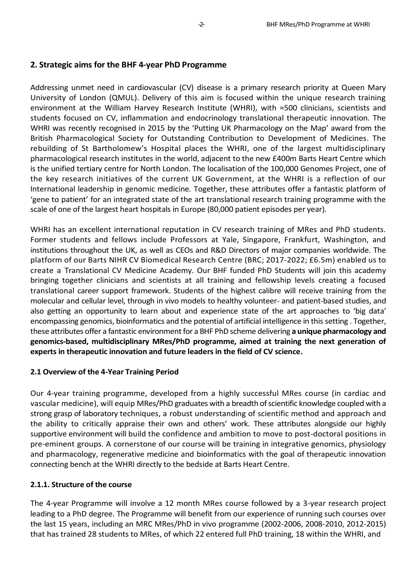#### **2. Strategic aims for the BHF 4-year PhD Programme**

Addressing unmet need in cardiovascular (CV) disease is a primary research priority at Queen Mary University of London (QMUL). Delivery of this aim is focused within the unique research training environment at the William Harvey Research Institute (WHRI), with ≈500 clinicians, scientists and students focused on CV, inflammation and endocrinology translational therapeutic innovation. The WHRI was recently recognised in 2015 by the 'Putting UK Pharmacology on the Map' award from the British Pharmacological Society for Outstanding Contribution to Development of Medicines. The rebuilding of St Bartholomew's Hospital places the WHRI, one of the largest multidisciplinary pharmacological research institutes in the world, adjacent to the new £400m Barts Heart Centre which is the unified tertiary centre for North London. The localisation of the 100,000 Genomes Project, one of the key research initiatives of the current UK Government, at the WHRI is a reflection of our International leadership in genomic medicine. Together, these attributes offer a fantastic platform of 'gene to patient' for an integrated state of the art translational research training programme with the scale of one of the largest heart hospitals in Europe (80,000 patient episodes per year).

WHRI has an excellent international reputation in CV research training of MRes and PhD students. Former students and fellows include Professors at Yale, Singapore, Frankfurt, Washington, and institutions throughout the UK, as well as CEOs and R&D Directors of major companies worldwide. The platform of our Barts NIHR CV Biomedical Research Centre (BRC; 2017-2022; £6.5m) enabled us to create a Translational CV Medicine Academy. Our BHF funded PhD Students will join this academy bringing together clinicians and scientists at all training and fellowship levels creating a focused translational career support framework. Students of the highest calibre will receive training from the molecular and cellular level, through in vivo models to healthy volunteer- and patient-based studies, and also getting an opportunity to learn about and experience state of the art approaches to 'big data' encompassing genomics, bioinformatics and the potential of artificial intelligence in this setting . Together, these attributes offer a fantastic environment for a BHF PhD scheme delivering **a unique pharmacology and genomics-based, multidisciplinary MRes/PhD programme, aimed at training the next generation of experts in therapeutic innovation and future leaders in the field of CV science.**

#### **2.1 Overview of the 4-Year Training Period**

Our 4-year training programme, developed from a highly successful MRes course (in cardiac and vascular medicine), will equip MRes/PhD graduates with a breadth of scientific knowledge coupled with a strong grasp of laboratory techniques, a robust understanding of scientific method and approach and the ability to critically appraise their own and others' work. These attributes alongside our highly supportive environment will build the confidence and ambition to move to post-doctoral positions in pre-eminent groups. A cornerstone of our course will be training in integrative genomics, physiology and pharmacology, regenerative medicine and bioinformatics with the goal of therapeutic innovation connecting bench at the WHRI directly to the bedside at Barts Heart Centre.

## **2.1.1. Structure of the course**

The 4-year Programme will involve a 12 month MRes course followed by a 3-year research project leading to a PhD degree. The Programme will benefit from our experience of running such courses over the last 15 years, including an MRC MRes/PhD in vivo programme (2002-2006, 2008-2010, 2012-2015) that has trained 28 students to MRes, of which 22 entered full PhD training, 18 within the WHRI, and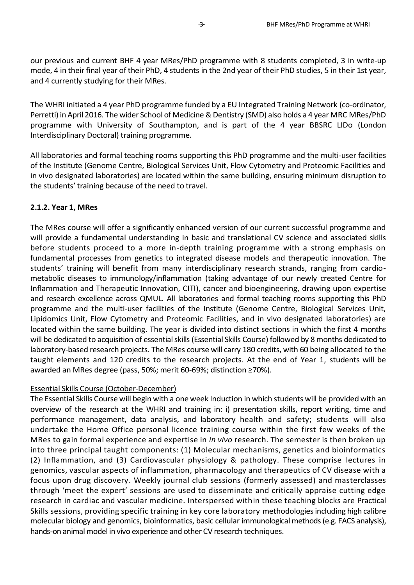our previous and current BHF 4 year MRes/PhD programme with 8 students completed, 3 in write-up mode, 4 in their final year of their PhD, 4 students in the 2nd year of their PhD studies, 5 in their 1st year, and 4 currently studying for their MRes.

The WHRI initiated a 4 year PhD programme funded by a EU Integrated Training Network (co-ordinator, Perretti) in April 2016. The wider School of Medicine & Dentistry (SMD) also holds a 4 year MRC MRes/PhD programme with University of Southampton, and is part of the 4 year BBSRC LIDo (London Interdisciplinary Doctoral) training programme.

All laboratories and formal teaching rooms supporting this PhD programme and the multi-user facilities of the Institute (Genome Centre, Biological Services Unit, Flow Cytometry and Proteomic Facilities and in vivo designated laboratories) are located within the same building, ensuring minimum disruption to the students' training because of the need to travel.

## **2.1.2. Year 1, MRes**

The MRes course will offer a significantly enhanced version of our current successful programme and will provide a fundamental understanding in basic and translational CV science and associated skills before students proceed to a more in-depth training programme with a strong emphasis on fundamental processes from genetics to integrated disease models and therapeutic innovation. The students' training will benefit from many interdisciplinary research strands, ranging from cardiometabolic diseases to immunology/inflammation (taking advantage of our newly created Centre for Inflammation and Therapeutic Innovation, CITI), cancer and bioengineering, drawing upon expertise and research excellence across QMUL. All laboratories and formal teaching rooms supporting this PhD programme and the multi-user facilities of the Institute (Genome Centre, Biological Services Unit, Lipidomics Unit, Flow Cytometry and Proteomic Facilities, and in vivo designated laboratories) are located within the same building. The year is divided into distinct sections in which the first 4 months will be dedicated to acquisition of essential skills (Essential Skills Course) followed by 8 months dedicated to laboratory-based research projects. The MRes course will carry 180 credits, with 60 being allocated to the taught elements and 120 credits to the research projects. At the end of Year 1, students will be awarded an MRes degree (pass, 50%; merit 60-69%; distinction ≥70%).

## Essential Skills Course (October-December)

The Essential Skills Course will begin with a one week Induction in which students will be provided with an overview of the research at the WHRI and training in: i) presentation skills, report writing, time and performance management, data analysis, and laboratory health and safety; students will also undertake the Home Office personal licence training course within the first few weeks of the MRes to gain formal experience and expertise in *in vivo* research. The semester is then broken up into three principal taught components: (1) Molecular mechanisms, genetics and bioinformatics (2) Inflammation, and (3) Cardiovascular physiology & pathology. These comprise lectures in genomics, vascular aspects of inflammation, pharmacology and therapeutics of CV disease with a focus upon drug discovery. Weekly journal club sessions (formerly assessed) and masterclasses through 'meet the expert' sessions are used to disseminate and critically appraise cutting edge research in cardiac and vascular medicine. Interspersed within these teaching blocks are Practical Skills sessions, providing specific training in key core laboratory methodologies including high calibre molecular biology and genomics, bioinformatics, basic cellular immunological methods (e.g. FACS analysis), hands-on animal model in vivo experience and other CV research techniques.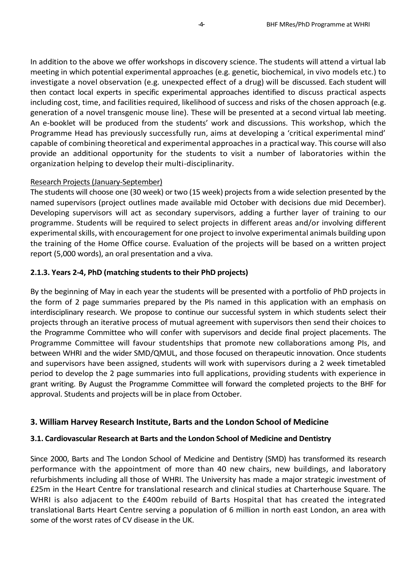In addition to the above we offer workshops in discovery science. The students will attend a virtual lab meeting in which potential experimental approaches (e.g. genetic, biochemical, in vivo models etc.) to investigate a novel observation (e.g. unexpected effect of a drug) will be discussed. Each student will then contact local experts in specific experimental approaches identified to discuss practical aspects including cost, time, and facilities required, likelihood of success and risks of the chosen approach (e.g. generation of a novel transgenic mouse line). These will be presented at a second virtual lab meeting. An e-booklet will be produced from the students' work and discussions. This workshop, which the Programme Head has previously successfully run, aims at developing a 'critical experimental mind' capable of combining theoretical and experimental approaches in a practical way. This course will also provide an additional opportunity for the students to visit a number of laboratories within the organization helping to develop their multi-disciplinarity.

## Research Projects (January-September)

The students will choose one (30 week) or two (15 week) projects from a wide selection presented by the named supervisors (project outlines made available mid October with decisions due mid December). Developing supervisors will act as secondary supervisors, adding a further layer of training to our programme. Students will be required to select projects in different areas and/or involving different experimental skills, with encouragement for one project to involve experimental animals building upon the training of the Home Office course. Evaluation of the projects will be based on a written project report (5,000 words), an oral presentation and a viva.

## **2.1.3. Years 2-4, PhD (matching students to their PhD projects)**

By the beginning of May in each year the students will be presented with a portfolio of PhD projects in the form of 2 page summaries prepared by the PIs named in this application with an emphasis on interdisciplinary research. We propose to continue our successful system in which students select their projects through an iterative process of mutual agreement with supervisors then send their choices to the Programme Committee who will confer with supervisors and decide final project placements. The Programme Committee will favour studentships that promote new collaborations among PIs, and between WHRI and the wider SMD/QMUL, and those focused on therapeutic innovation. Once students and supervisors have been assigned, students will work with supervisors during a 2 week timetabled period to develop the 2 page summaries into full applications, providing students with experience in grant writing. By August the Programme Committee will forward the completed projects to the BHF for approval. Students and projects will be in place from October.

## **3. William Harvey Research Institute, Barts and the London School of Medicine**

## **3.1. Cardiovascular Research at Barts and the London School of Medicine and Dentistry**

Since 2000, Barts and The London School of Medicine and Dentistry (SMD) has transformed its research performance with the appointment of more than 40 new chairs, new buildings, and laboratory refurbishments including all those of WHRI. The University has made a major strategic investment of £25m in the Heart Centre for translational research and clinical studies at Charterhouse Square. The WHRI is also adjacent to the £400m rebuild of Barts Hospital that has created the integrated translational Barts Heart Centre serving a population of 6 million in north east London, an area with some of the worst rates of CV disease in the UK.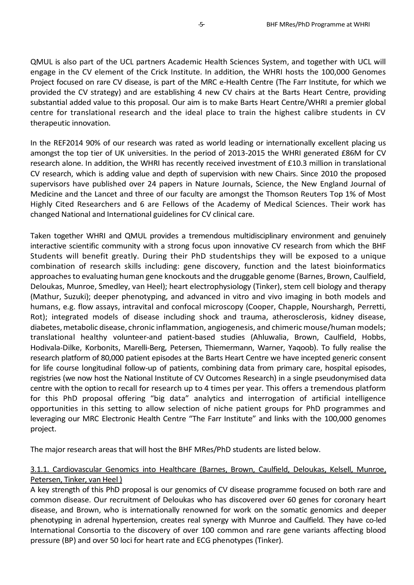QMUL is also part of the UCL partners Academic Health Sciences System, and together with UCL will engage in the CV element of the Crick Institute. In addition, the WHRI hosts the 100,000 Genomes Project focused on rare CV disease, is part of the MRC e-Health Centre (The Farr Institute, for which we provided the CV strategy) and are establishing 4 new CV chairs at the Barts Heart Centre, providing substantial added value to this proposal. Our aim is to make Barts Heart Centre/WHRI a premier global centre for translational research and the ideal place to train the highest calibre students in CV therapeutic innovation.

In the REF2014 90% of our research was rated as world leading or internationally excellent placing us amongst the top tier of UK universities. In the period of 2013-2015 the WHRI generated £86M for CV research alone. In addition, the WHRI has recently received investment of £10.3 million in translational CV research, which is adding value and depth of supervision with new Chairs. Since 2010 the proposed supervisors have published over 24 papers in Nature Journals, Science, the New England Journal of Medicine and the Lancet and three of our faculty are amongst the Thomson Reuters Top 1% of Most Highly Cited Researchers and 6 are Fellows of the Academy of Medical Sciences. Their work has changed National and International guidelines for CV clinical care.

Taken together WHRI and QMUL provides a tremendous multidisciplinary environment and genuinely interactive scientific community with a strong focus upon innovative CV research from which the BHF Students will benefit greatly. During their PhD studentships they will be exposed to a unique combination of research skills including: gene discovery, function and the latest bioinformatics approaches to evaluating human gene knockouts and the druggable genome (Barnes, Brown, Caulfield, Deloukas, Munroe, Smedley, van Heel); heart electrophysiology (Tinker), stem cell biology and therapy (Mathur, Suzuki); deeper phenotyping, and advanced in vitro and vivo imaging in both models and humans, e.g. flow assays, intravital and confocal microscopy (Cooper, Chapple, Nourshargh, Perretti, Rot); integrated models of disease including shock and trauma, atherosclerosis, kidney disease, diabetes, metabolic disease, chronic inflammation, angiogenesis, and chimeric mouse/human models; translational healthy volunteer-and patient-based studies (Ahluwalia, Brown, Caulfield, Hobbs, Hodivala-Dilke, Korbonits, Marelli-Berg, Petersen, Thiemermann, Warner, Yaqoob). To fully realise the research platform of 80,000 patient episodes at the Barts Heart Centre we have incepted generic consent for life course longitudinal follow-up of patients, combining data from primary care, hospital episodes, registries (we now host the National Institute of CV Outcomes Research) in a single pseudonymised data centre with the option to recall for research up to 4 times per year. This offers a tremendous platform for this PhD proposal offering "big data" analytics and interrogation of artificial intelligence opportunities in this setting to allow selection of niche patient groups for PhD programmes and leveraging our MRC Electronic Health Centre "The Farr Institute" and links with the 100,000 genomes project.

The major research areas that will host the BHF MRes/PhD students are listed below.

## 3.1.1. Cardiovascular Genomics into Healthcare (Barnes, Brown, Caulfield, Deloukas, Kelsell, Munroe, Petersen, Tinker, van Heel )

A key strength of this PhD proposal is our genomics of CV disease programme focused on both rare and common disease. Our recruitment of Deloukas who has discovered over 60 genes for coronary heart disease, and Brown, who is internationally renowned for work on the somatic genomics and deeper phenotyping in adrenal hypertension, creates real synergy with Munroe and Caulfield. They have co-led International Consortia to the discovery of over 100 common and rare gene variants affecting blood pressure (BP) and over 50 loci for heart rate and ECG phenotypes (Tinker).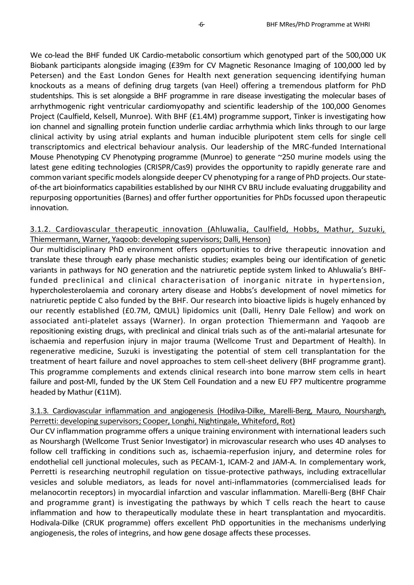We co-lead the BHF funded UK Cardio-metabolic consortium which genotyped part of the 500,000 UK Biobank participants alongside imaging (£39m for CV Magnetic Resonance Imaging of 100,000 led by Petersen) and the East London Genes for Health next generation sequencing identifying human knockouts as a means of defining drug targets (van Heel) offering a tremendous platform for PhD studentships. This is set alongside a BHF programme in rare disease investigating the molecular bases of arrhythmogenic right ventricular cardiomyopathy and scientific leadership of the 100,000 Genomes Project (Caulfield, Kelsell, Munroe). With BHF (£1.4M) programme support, Tinker is investigating how ion channel and signalling protein function underlie cardiac arrhythmia which links through to our large clinical activity by using atrial explants and human inducible pluripotent stem cells for single cell transcriptomics and electrical behaviour analysis. Our leadership of the MRC-funded International Mouse Phenotyping CV Phenotyping programme (Munroe) to generate ~250 murine models using the latest gene editing technologies (CRISPR/Cas9) provides the opportunity to rapidly generate rare and common variant specific models alongside deeper CV phenotyping for a range of PhD projects. Our stateof-the art bioinformatics capabilities established by our NIHR CV BRU include evaluating druggability and repurposing opportunities (Barnes) and offer further opportunities for PhDs focussed upon therapeutic innovation.

## 3.1.2. Cardiovascular therapeutic innovation (Ahluwalia, Caulfield, Hobbs, Mathur, Suzuki, Thiemermann, Warner, Yaqoob: developing supervisors; Dalli, Henson)

Our multidisciplinary PhD environment offers opportunities to drive therapeutic innovation and translate these through early phase mechanistic studies; examples being our identification of genetic variants in pathways for NO generation and the natriuretic peptide system linked to Ahluwalia's BHFfunded preclinical and clinical characterisation of inorganic nitrate in hypertension, hypercholesterolaemia and coronary artery disease and Hobbs's development of novel mimetics for natriuretic peptide C also funded by the BHF. Our research into bioactive lipids is hugely enhanced by our recently established (£0.7M, QMUL) lipidomics unit (Dalli, Henry Dale Fellow) and work on associated anti-platelet assays (Warner). In organ protection Thiemermann and Yaqoob are repositioning existing drugs, with preclinical and clinical trials such as of the anti-malarial artesunate for ischaemia and reperfusion injury in major trauma (Wellcome Trust and Department of Health). In regenerative medicine, Suzuki is investigating the potential of stem cell transplantation for the treatment of heart failure and novel approaches to stem cell-sheet delivery (BHF programme grant). This programme complements and extends clinical research into bone marrow stem cells in heart failure and post-MI, funded by the UK Stem Cell Foundation and a new EU FP7 multicentre programme headed by Mathur (€11M).

## 3.1.3. Cardiovascular inflammation and angiogenesis (Hodilva-Dilke, Marelli-Berg, Mauro, Nourshargh, Perretti: developing supervisors; Cooper, Longhi, Nightingale, Whiteford, Rot)

Our CV inflammation programme offers a unique training environment with international leaders such as Nourshargh (Wellcome Trust Senior Investigator) in microvascular research who uses 4D analyses to follow cell trafficking in conditions such as, ischaemia-reperfusion injury, and determine roles for endothelial cell junctional molecules, such as PECAM-1, ICAM-2 and JAM-A. In complementary work, Perretti is researching neutrophil regulation on tissue-protective pathways, including extracellular vesicles and soluble mediators, as leads for novel anti-inflammatories (commercialised leads for melanocortin receptors) in myocardial infarction and vascular inflammation. Marelli-Berg (BHF Chair and programme grant) is investigating the pathways by which T cells reach the heart to cause inflammation and how to therapeutically modulate these in heart transplantation and myocarditis. Hodivala-Dilke (CRUK programme) offers excellent PhD opportunities in the mechanisms underlying angiogenesis, the roles of integrins, and how gene dosage affects these processes.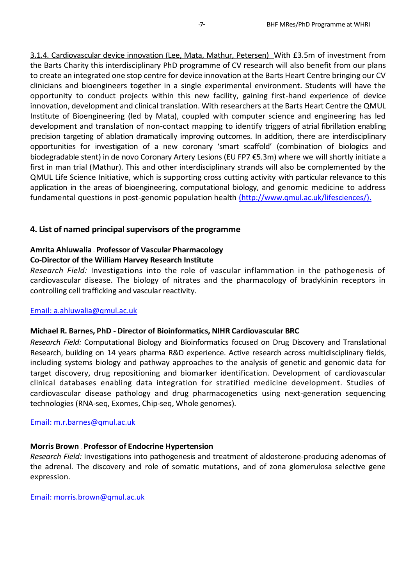3.1.4. Cardiovascular device innovation (Lee, Mata, Mathur, Petersen) With £3.5m of investment from the Barts Charity this interdisciplinary PhD programme of CV research will also benefit from our plans to create an integrated one stop centre for device innovation at the Barts Heart Centre bringing our CV clinicians and bioengineers together in a single experimental environment. Students will have the opportunity to conduct projects within this new facility, gaining first-hand experience of device innovation, development and clinical translation. With researchers at the Barts Heart Centre the QMUL Institute of Bioengineering (led by Mata), coupled with computer science and engineering has led development and translation of non-contact mapping to identify triggers of atrial fibrillation enabling precision targeting of ablation dramatically improving outcomes. In addition, there are interdisciplinary opportunities for investigation of a new coronary 'smart scaffold' (combination of biologics and biodegradable stent) in de novo Coronary Artery Lesions (EU FP7 €5.3m) where we will shortly initiate a first in man trial (Mathur). This and other interdisciplinary strands will also be complemented by the QMUL Life Science Initiative, which is supporting cross cutting activity with particular relevance to this application in the areas of bioengineering, computational biology, and genomic medicine to address fundamental questions in post-genomic population health [\(http://www.qmul.ac.uk/lifesciences/\).](http://www.qmul.ac.uk/lifesciences/).)

## **4. List of named principal supervisors of the programme**

## **Amrita Ahluwalia – Professor of Vascular Pharmacology**

## **Co-Director of the William Harvey Research Institute**

*Research Field:* Investigations into the role of vascular inflammation in the pathogenesis of cardiovascular disease. The biology of nitrates and the pharmacology of bradykinin receptors in controlling cell trafficking and vascular reactivity.

#### Email: [a.ahluwalia@qmul.ac.uk](mailto:a.ahluwalia@qmul.ac.uk)

## **Michael R. Barnes, PhD - Director of Bioinformatics, NIHR Cardiovascular BRC**

*Research Field:* Computational Biology and Bioinformatics focused on Drug Discovery and Translational Research, building on 14 years pharma R&D experience. Active research across multidisciplinary fields, including systems biology and pathway approaches to the analysis of genetic and genomic data for target discovery, drug repositioning and biomarker identification. Development of cardiovascular clinical databases enabling data integration for stratified medicine development. Studies of cardiovascular disease pathology and drug pharmacogenetics using next-generation sequencing technologies (RNA-seq, Exomes, Chip-seq, Whole genomes).

#### Email: [m.r.barnes@qmul.ac.uk](mailto:m.r.barnes@qmul.ac.uk)

## **Morris Brown – Professor of Endocrine Hypertension**

*Research Field:* Investigations into pathogenesis and treatment of aldosterone-producing adenomas of the adrenal. The discovery and role of somatic mutations, and of zona glomerulosa selective gene expression.

Email: [morris.brown@qmul.ac.uk](mailto:morris.brown@qmul.ac.uk)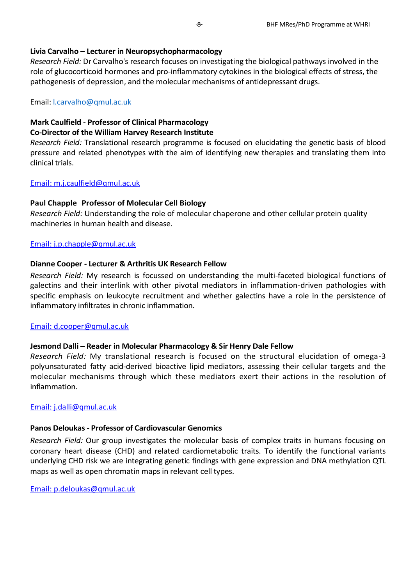#### **Livia Carvalho – Lecturer in Neuropsychopharmacology**

*Research Field:* Dr Carvalho's research focuses on investigating the biological pathways involved in the role of glucocorticoid hormones and pro-inflammatory cytokines in the biological effects of stress, the pathogenesis of depression, and the molecular mechanisms of antidepressant drugs.

Email: [l.carvalho@qmul.ac.uk](mailto:l.carvalho@qmul.ac.uk)

#### **Mark Caulfield - Professor of Clinical Pharmacology Co-Director of the William Harvey Research Institute**

*Research Field:* Translational research programme is focused on elucidating the genetic basis of blood pressure and related phenotypes with the aim of identifying new therapies and translating them into clinical trials.

#### Email: [m.j.caulfield@qmul.ac.uk](mailto:m.j.caulfield@qmul.ac.uk)

## **Paul Chapple – Professor of Molecular Cell Biology**

*Research Field:* Understanding the role of molecular chaperone and other cellular protein quality machineries in human health and disease.

#### Email: [j.p.chapple@qmul.ac.uk](mailto:j.p.chapple@qmul.ac.uk)

#### **Dianne Cooper - Lecturer & Arthritis UK Research Fellow**

*Research Field:* My research is focussed on understanding the multi-faceted biological functions of galectins and their interlink with other pivotal mediators in inflammation-driven pathologies with specific emphasis on leukocyte recruitment and whether galectins have a role in the persistence of inflammatory infiltrates in chronic inflammation.

#### Email: [d.cooper@qmul.ac.uk](mailto:d.cooper@qmul.ac.uk)

## **Jesmond Dalli – Reader in Molecular Pharmacology & Sir Henry Dale Fellow**

*Research Field:* My translational research is focused on the structural elucidation of omega-3 polyunsaturated fatty acid-derived bioactive lipid mediators, assessing their cellular targets and the molecular mechanisms through which these mediators exert their actions in the resolution of inflammation.

#### Email: [j.dalli@qmul.ac.uk](mailto:j.dalli@qmul.ac.uk)

## **Panos Deloukas - Professor of Cardiovascular Genomics**

*Research Field:* Our group investigates the molecular basis of complex traits in humans focusing on coronary heart disease (CHD) and related cardiometabolic traits. To identify the functional variants underlying CHD risk we are integrating genetic findings with gene expression and DNA methylation QTL maps as well as open chromatin maps in relevant cell types.

Email: [p.deloukas@qmul.ac.uk](mailto:p.deloukas@qmul.ac.uk)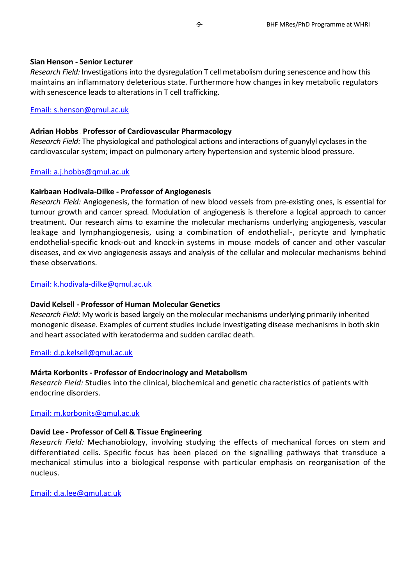#### **Sian Henson - Senior Lecturer**

*Research Field:* Investigations into the dysregulation T cell metabolism during senescence and how this maintains an inflammatory deleterious state. Furthermore how changes in key metabolic regulators with senescence leads to alterations in T cell trafficking.

Email: [s.henson@qmul.ac.uk](mailto:s.henson@qmul.ac.uk)

#### **Adrian Hobbs – Professor of Cardiovascular Pharmacology**

*Research Field:* The physiological and pathological actions and interactions of guanylyl cyclases in the cardiovascular system; impact on pulmonary artery hypertension and systemic blood pressure.

#### Email: [a.j.hobbs@qmul.ac.uk](mailto:a.j.hobbs@qmul.ac.uk)

#### **Kairbaan Hodivala-Dilke - Professor of Angiogenesis**

*Research Field:* Angiogenesis, the formation of new blood vessels from pre-existing ones, is essential for tumour growth and cancer spread. Modulation of angiogenesis is therefore a logical approach to cancer treatment. Our research aims to examine the molecular mechanisms underlying angiogenesis, vascular leakage and lymphangiogenesis, using a combination of endothelial-, pericyte and lymphatic endothelial-specific knock-out and knock-in systems in mouse models of cancer and other vascular diseases, and ex vivo angiogenesis assays and analysis of the cellular and molecular mechanisms behind these observations.

#### Email: [k.hodivala-dilke@qmul.ac.uk](mailto:k.hodivala-dilke@qmul.ac.uk)

## **David Kelsell - Professor of Human Molecular Genetics**

*Research Field:* My work is based largely on the molecular mechanisms underlying primarily inherited monogenic disease. Examples of current studies include investigating disease mechanisms in both skin and heart associated with keratoderma and sudden cardiac death.

#### Email: [d.p.kelsell@qmul.ac.uk](mailto:d.p.kelsell@qmul.ac.uk)

## **Márta Korbonits - Professor of Endocrinology and Metabolism**

*Research Field:* Studies into the clinical, biochemical and genetic characteristics of patients with endocrine disorders.

## Email: [m.korbonits@qmul.ac.uk](mailto:m.korbonits@qmul.ac.uk)

## **David Lee - Professor of Cell & Tissue Engineering**

*Research Field:* Mechanobiology, involving studying the effects of mechanical forces on stem and differentiated cells. Specific focus has been placed on the signalling pathways that transduce a mechanical stimulus into a biological response with particular emphasis on reorganisation of the nucleus.

Email: [d.a.lee@qmul.ac.uk](mailto:d.a.lee@qmul.ac.uk)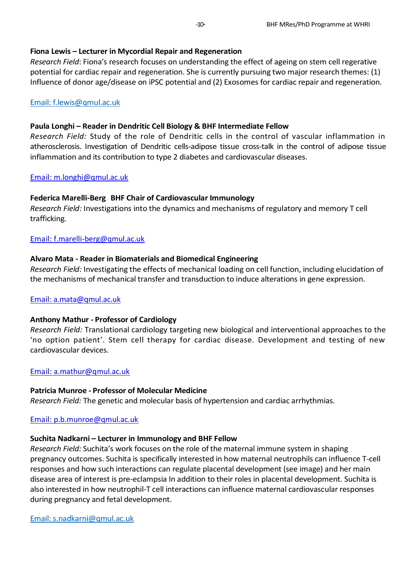## **Fiona Lewis – Lecturer in Mycordial Repair and Regeneration**

*Research Field*: Fiona's research focuses on understanding the effect of ageing on stem cell regerative potential for cardiac repair and regeneration. She is currently pursuing two major research themes: (1) Influence of donor age/disease on iPSC potential and (2) Exosomes for cardiac repair and regeneration.

## [Email: f.lewis@qmul.ac.uk](mailto:f.lewis@qmul.ac.uk)

## **Paula Longhi – Reader in Dendritic Cell Biology & BHF Intermediate Fellow**

*Research Field:* Study of the role of Dendritic cells in the control of vascular inflammation in atherosclerosis. Investigation of Dendritic cells-adipose tissue cross-talk in the control of adipose tissue inflammation and its contribution to type 2 diabetes and cardiovascular diseases.

## Email: [m.longhi@qmul.ac.uk](mailto:m.longhi@qmul.ac.uk)

## **Federica Marelli-Berg – BHF Chair of Cardiovascular Immunology**

*Research Field:* Investigations into the dynamics and mechanisms of regulatory and memory T cell trafficking.

## Email: [f.marelli-berg@qmul.ac.uk](mailto:f.marelli-berg@qmul.ac.uk)

## **Alvaro Mata - Reader in Biomaterials and Biomedical Engineering**

*Research Field:* Investigating the effects of mechanical loading on cell function, including elucidation of the mechanisms of mechanical transfer and transduction to induce alterations in gene expression.

## Email: [a.mata@qmul.ac.uk](mailto:a.mata@qmul.ac.uk)

## **Anthony Mathur - Professor of Cardiology**

*Research Field:* Translational cardiology targeting new biological and interventional approaches to the 'no option patient'. Stem cell therapy for cardiac disease. Development and testing of new cardiovascular devices.

## Email: [a.mathur@qmul.ac.uk](mailto:a.mathur@qmul.ac.uk)

## **Patricia Munroe - Professor of Molecular Medicine**

*Research Field:* The genetic and molecular basis of hypertension and cardiac arrhythmias.

## Email: [p.b.munroe@qmul.ac.uk](mailto:p.b.munroe@qmul.ac.uk)

## **Suchita Nadkarni – Lecturer in Immunology and BHF Fellow**

*Research Field:* Suchita's work focuses on the role of the maternal immune system in shaping pregnancy outcomes. Suchita is specifically interested in how maternal neutrophils can influence T-cell responses and how such interactions can regulate placental development (see image) and her main disease area of interest is pre-eclampsia In addition to their roles in placental development. Suchita is also interested in how neutrophil-T cell interactions can influence maternal cardiovascular responses during pregnancy and fetal development.

[Email: s.nadkarni@qmul.ac.uk](mailto:s.nadkarni@qmul.ac.uk)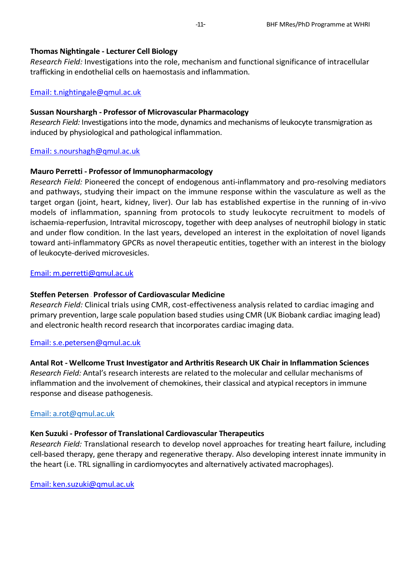## **Thomas Nightingale - Lecturer Cell Biology**

*Research Field:* Investigations into the role, mechanism and functional significance of intracellular trafficking in endothelial cells on haemostasis and inflammation.

## Email: [t.nightingale@qmul.ac.uk](mailto:t.nightingale@qmul.ac.uk)

## **Sussan Nourshargh - Professor of Microvascular Pharmacology**

*Research Field:* Investigations into the mode, dynamics and mechanisms of leukocyte transmigration as induced by physiological and pathological inflammation.

## Email: [s.nourshagh@qmul.ac.uk](mailto:s.nourshagh@qmul.ac.uk)

## **Mauro Perretti - Professor of Immunopharmacology**

*Research Field:* Pioneered the concept of endogenous anti-inflammatory and pro-resolving mediators and pathways, studying their impact on the immune response within the vasculature as well as the target organ (joint, heart, kidney, liver). Our lab has established expertise in the running of in-vivo models of inflammation, spanning from protocols to study leukocyte recruitment to models of ischaemia-reperfusion, Intravital microscopy, together with deep analyses of neutrophil biology in static and under flow condition. In the last years, developed an interest in the exploitation of novel ligands toward anti-inflammatory GPCRs as novel therapeutic entities, together with an interest in the biology of leukocyte-derived microvesicles.

#### [Email: m.perretti@qmul.ac.uk](mailto:m.perretti@qmul.ac.uk)

## **Steffen Petersen – Professor of Cardiovascular Medicine**

*Research Field:* Clinical trials using CMR, cost-effectiveness analysis related to cardiac imaging and primary prevention, large scale population based studies using CMR (UK Biobank cardiac imaging lead) and electronic health record research that incorporates cardiac imaging data.

## [Email: s.e.petersen@qmul.ac.uk](mailto:s.e.petersen@qmul.ac.uk)

## **Antal Rot - Wellcome Trust Investigator and Arthritis Research UK Chair in Inflammation Sciences**

*Research Field:* Antal's research interests are related to the molecular and cellular mechanisms of inflammation and the involvement of chemokines, their classical and atypical receptors in immune response and disease pathogenesis.

## [Email: a.rot@qmul.ac.uk](mailto:a.rot@qmul.ac.uk)

## **Ken Suzuki - Professor of Translational Cardiovascular Therapeutics**

*Research Field:* Translational research to develop novel approaches for treating heart failure, including cell-based therapy, gene therapy and regenerative therapy. Also developing interest innate immunity in the heart (i.e. TRL signalling in cardiomyocytes and alternatively activated macrophages).

[Email: ken.suzuki@qmul.ac.uk](mailto:ken.suzuki@qmul.ac.uk)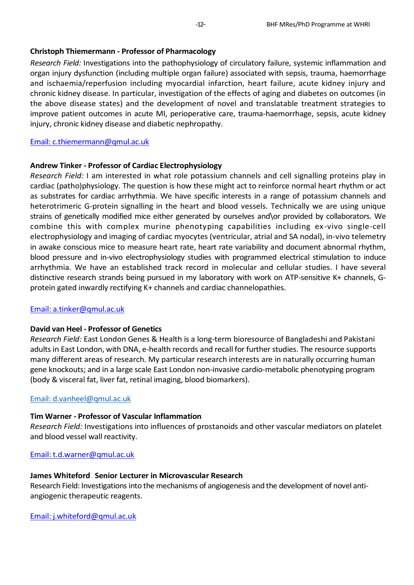#### **Christoph Thiemermann - Professor of Pharmacology**

*Research Field:* Investigations into the pathophysiology of circulatory failure, systemic inflammation and organ injury dysfunction (including multiple organ failure) associated with sepsis, trauma, haemorrhage and ischaemia/reperfusion including myocardial infarction, heart failure, acute kidney injury and chronic kidney disease. In particular, investigation of the effects of aging and diabetes on outcomes (in the above disease states) and the development of novel and translatable treatment strategies to improve patient outcomes in acute MI, perioperative care, trauma-haemorrhage, sepsis, acute kidney injury, chronic kidney disease and diabetic nephropathy.

#### [Email: c.thiemermann@qmul.ac.uk](mailto:c.thiemermann@qmul.ac.uk)

#### **Andrew Tinker - Professor of Cardiac Electrophysiology**

*Research Field:* I am interested in what role potassium channels and cell signalling proteins play in cardiac (patho)physiology. The question is how these might act to reinforce normal heart rhythm or act as substrates for cardiac arrhythmia. We have specific interests in a range of potassium channels and heterotrimeric G-protein signalling in the heart and blood vessels. Technically we are using unique strains of genetically modified mice either generated by ourselves and\or provided by collaborators. We combine this with complex murine phenotyping capabilities including ex-vivo single-cell electrophysiology and imaging of cardiac myocytes (ventricular, atrial and SA nodal), in-vivo telemetry in awake conscious mice to measure heart rate, heart rate variability and document abnormal rhythm, blood pressure and in-vivo electrophysiology studies with programmed electrical stimulation to induce arrhythmia. We have an established track record in molecular and cellular studies. I have several distinctive research strands being pursued in my laboratory with work on ATP-sensitive K+ channels, Gprotein gated inwardly rectifying K+ channels and cardiac channelopathies.

#### [Email: a.tinker@qmul.ac.uk](mailto:a.tinker@qmul.ac.uk)

#### **David van Heel - Professor of Genetics**

*Research Field:* East London Genes & Health is a long-term bioresource of Bangladeshi and Pakistani adults in East London, with DNA, e-health records and recall for further studies. The resource supports many different areas of research. My particular research interests are in naturally occurring human gene knockouts; and in a large scale East London non-invasive cardio-metabolic phenotyping program (body & visceral fat, liver fat, retinal imaging, blood biomarkers).

#### [Email: d.vanheel@qmul.ac.uk](mailto:d.vanheel@qmul.ac.uk)

#### **Tim Warner - Professor of Vascular Inflammation**

*Research Field:* Investigations into influences of prostanoids and other vascular mediators on platelet and blood vessel wall reactivity.

#### [Email: t.d.warner@qmul.ac.uk](mailto:t.d.warner@qmul.ac.uk)

#### **James Whiteford – Senior Lecturer in Microvascular Research**

Research Field: Investigations into the mechanisms of angiogenesis and the development of novel antiangiogenic therapeutic reagents.

[Email: j.whiteford@qmul.ac.uk](mailto:j.whiteford@qmul.ac.uk)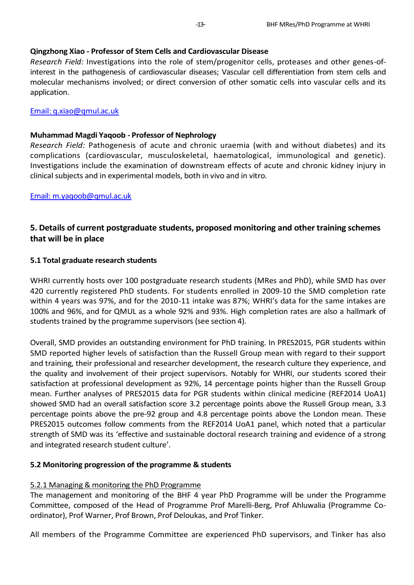#### **Qingzhong Xiao - Professor of Stem Cells and Cardiovascular Disease**

*Research Field:* Investigations into the role of stem/progenitor cells, proteases and other genes-ofinterest in the pathogenesis of cardiovascular diseases; Vascular cell differentiation from stem cells and molecular mechanisms involved; or direct conversion of other somatic cells into vascular cells and its application.

#### [Email: q.xiao@qmul.ac.uk](mailto:q.xiao@qmul.ac.uk)

#### **Muhammad Magdi Yaqoob - Professor of Nephrology**

*Research Field:* Pathogenesis of acute and chronic uraemia (with and without diabetes) and its complications (cardiovascular, musculoskeletal, haematological, immunological and genetic). Investigations include the examination of downstream effects of acute and chronic kidney injury in clinical subjects and in experimental models, both in vivo and in vitro.

[Email: m.yaqoob@qmul.ac.uk](mailto:m.yaqoob@qmul.ac.uk)

## **5. Details of current postgraduate students, proposed monitoring and other training schemes that will be in place**

#### **5.1 Total graduate research students**

WHRI currently hosts over 100 postgraduate research students (MRes and PhD), while SMD has over 420 currently registered PhD students. For students enrolled in 2009-10 the SMD completion rate within 4 years was 97%, and for the 2010-11 intake was 87%; WHRI's data for the same intakes are 100% and 96%, and for QMUL as a whole 92% and 93%. High completion rates are also a hallmark of students trained by the programme supervisors (see section 4).

Overall, SMD provides an outstanding environment for PhD training. In PRES2015, PGR students within SMD reported higher levels of satisfaction than the Russell Group mean with regard to their support and training, their professional and researcher development, the research culture they experience, and the quality and involvement of their project supervisors. Notably for WHRI, our students scored their satisfaction at professional development as 92%, 14 percentage points higher than the Russell Group mean. Further analyses of PRES2015 data for PGR students within clinical medicine (REF2014 UoA1) showed SMD had an overall satisfaction score 3.2 percentage points above the Russell Group mean, 3.3 percentage points above the pre-92 group and 4.8 percentage points above the London mean. These PRES2015 outcomes follow comments from the REF2014 UoA1 panel, which noted that a particular strength of SMD was its 'effective and sustainable doctoral research training and evidence of a strong and integrated research student culture'.

## **5.2 Monitoring progression of the programme & students**

## 5.2.1 Managing & monitoring the PhD Programme

The management and monitoring of the BHF 4 year PhD Programme will be under the Programme Committee, composed of the Head of Programme Prof Marelli-Berg, Prof Ahluwalia (Programme Coordinator), Prof Warner, Prof Brown, Prof Deloukas, and Prof Tinker.

All members of the Programme Committee are experienced PhD supervisors, and Tinker has also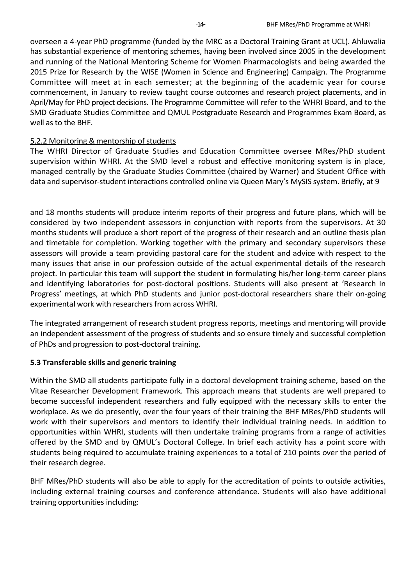overseen a 4-year PhD programme (funded by the MRC as a Doctoral Training Grant at UCL). Ahluwalia has substantial experience of mentoring schemes, having been involved since 2005 in the development and running of the National Mentoring Scheme for Women Pharmacologists and being awarded the 2015 Prize for Research by the WISE (Women in Science and Engineering) Campaign. The Programme Committee will meet at in each semester; at the beginning of the academic year for course commencement, in January to review taught course outcomes and research project placements, and in April/May for PhD project decisions. The Programme Committee will refer to the WHRI Board, and to the SMD Graduate Studies Committee and QMUL Postgraduate Research and Programmes Exam Board, as well as to the BHF.

#### 5.2.2 Monitoring & mentorship of students

The WHRI Director of Graduate Studies and Education Committee oversee MRes/PhD student supervision within WHRI. At the SMD level a robust and effective monitoring system is in place, managed centrally by the Graduate Studies Committee (chaired by Warner) and Student Office with data and supervisor-student interactions controlled online via Queen Mary's MySIS system. Briefly, at 9

and 18 months students will produce interim reports of their progress and future plans, which will be considered by two independent assessors in conjunction with reports from the supervisors. At 30 months students will produce a short report of the progress of their research and an outline thesis plan and timetable for completion. Working together with the primary and secondary supervisors these assessors will provide a team providing pastoral care for the student and advice with respect to the many issues that arise in our profession outside of the actual experimental details of the research project. In particular this team will support the student in formulating his/her long-term career plans and identifying laboratories for post-doctoral positions. Students will also present at 'Research In Progress' meetings, at which PhD students and junior post-doctoral researchers share their on-going experimental work with researchers from across WHRI.

The integrated arrangement of research student progress reports, meetings and mentoring will provide an independent assessment of the progress of students and so ensure timely and successful completion of PhDs and progression to post-doctoral training.

## **5.3 Transferable skills and generic training**

Within the SMD all students participate fully in a doctoral development training scheme, based on the Vitae Researcher Development Framework. This approach means that students are well prepared to become successful independent researchers and fully equipped with the necessary skills to enter the workplace. As we do presently, over the four years of their training the BHF MRes/PhD students will work with their supervisors and mentors to identify their individual training needs. In addition to opportunities within WHRI, students will then undertake training programs from a range of activities offered by the SMD and by QMUL's Doctoral College. In brief each activity has a point score with students being required to accumulate training experiences to a total of 210 points over the period of their research degree.

BHF MRes/PhD students will also be able to apply for the accreditation of points to outside activities, including external training courses and conference attendance. Students will also have additional training opportunities including: